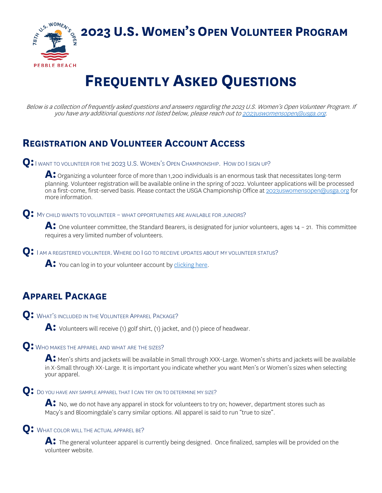**2023 U.S. WOMEN'S OPEN VOLUNTEER PROGRAM** 



# **FREQUENTLY ASKED QUESTIONS**

Below is a collection of frequently asked questions and answers regarding the 2023 U.S. Women's Open Volunteer Program. If you have any additional questions not listed below, please reach out t[o 2023uswomensopen@usga.org.](mailto:2023uswomensopen@usga.org)

# **REGISTRATION AND VOLUNTEER ACCOUNT ACCESS**

**Q:**<sup>I</sup> WANT TO VOLUNTEER FOR THE 2023 U.S. WOMEN'S OPEN CHAMPIONSHIP. HOW DO I SIGN UP?

**A:** Organizing a volunteer force of more than 1,200 individuals is an enormous task that necessitates long-term planning. Volunteer registration will be available online in the spring of 2022. Volunteer applications will be processed on a first-come, first-served basis. Please contact the USGA Championship Office at [2023uswomensopen@usga.org](mailto:2023uswomensopen@usga.org) for more information.

**Q:** MY CHILD WANTS TO VOLUNTEER – WHAT OPPORTUNITIES ARE AVAILABLE FOR JUNIORS?

A: One volunteer committee, the Standard Bearers, is designated for junior volunteers, ages 14 - 21. This committee requires a very limited number of volunteers.

**Q:** <sup>I</sup> AM A REGISTERED VOLUNTEER. WHERE DO I GO TO RECEIVE UPDATES ABOUT MY VOLUNTEER STATUS?

**A:** You can log in to your volunteer account by [clicking here.](https://www.cuetoems.com/uswo_2023/Volunteer.aspx)

# **APPAREL PACKAGE**

**Q:** WHAT'S INCLUDED IN THE VOLUNTEER APPAREL PACKAGE?

**A:** Volunteers will receive (1) golf shirt, (1) jacket, and (1) piece of headwear.

#### **Q:** WHO MAKES THE APPAREL AND WHAT ARE THE SIZES?

**A:** Men's shirts and jackets will be available in Small through XXX-Large. Women's shirts and jackets will be available in X-Small through XX-Large. It is important you indicate whether you want Men's or Women's sizes when selecting your apparel.

### **Q:** DO YOU HAVE ANY SAMPLE APPAREL THAT I CAN TRY ON TO DETERMINE MY SIZE?

A: No, we do not have any apparel in stock for volunteers to try on; however, department stores such as Macy's and Bloomingdale's carry similar options. All apparel is said to run "true to size".

# **Q:** WHAT COLOR WILL THE ACTUAL APPAREL BE?

**A:** The general volunteer apparel is currently being designed. Once finalized, samples will be provided on the volunteer website.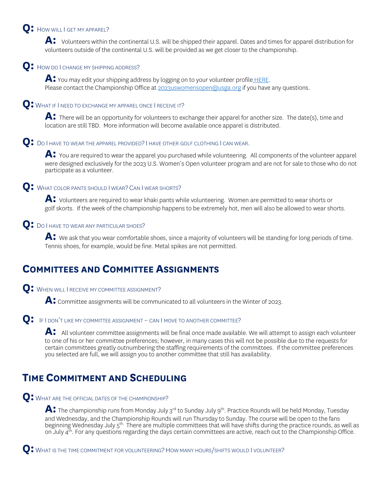# **Q:** HOW WILL I GET MY APPAREL?

A: Volunteers within the continental U.S. will be shipped their apparel. Dates and times for apparel distribution for volunteers outside of the continental U.S. will be provided as we get closer to the championship.

### **Q**: How do I CHANGE MY SHIPPING ADDRESS?

A: You may edit your shipping address by logging on to your volunteer profile **HERE**. Please contact the Championship Office at [2023uswomensopen@usga.org](mailto:2023uswomensopen@usga.org) if you have any questions.

#### **Q:** WHAT IF I NEED TO EXCHANGE MY APPAREL ONCE I RECEIVE IT?

**A:** There will be an opportunity for volunteers to exchange their apparel for another size. The date(s), time and location are still TBD. More information will become available once apparel is distributed.

#### **Q:** DO I HAVE TO WEAR THE APPAREL PROVIDED?I HAVE OTHER GOLF CLOTHING I CAN WEAR.

**A:** You are required to wear the apparel you purchased while volunteering. All components of the volunteer apparel were designed exclusively for the 2023 U.S. Women's Open volunteer program and are not for sale to those who do not participate as a volunteer.

#### **Q:** WHAT COLOR PANTS SHOULD I WEAR? CAN I WEAR SHORTS?

**A:** Volunteers are required to wear khaki pants while volunteering. Women are permitted to wear shorts or golf skorts. If the week of the championship happens to be extremely hot, men will also be allowed to wear shorts.

### **Q:** DO I HAVE TO WEAR ANY PARTICULAR SHOES?

**A:** We ask that you wear comfortable shoes, since a majority of volunteers will be standing for long periods of time. Tennis shoes, for example, would be fine. Metal spikes are not permitted.

# **COMMITTEES AND COMMITTEE ASSIGNMENTS**

#### **Q:** WHEN WILL I RECEIVE MY COMMITTEE ASSIGNMENT?

A: Committee assignments will be communicated to all volunteers in the Winter of 2023.

#### **Q:** IF I DON'T LIKE MY COMMITTEE ASSIGNMENT – CAN I MOVE TO ANOTHER COMMITTEE?

**A:** All volunteer committee assignments will be final once made available. We will attempt to assign each volunteer to one of his or her committee preferences; however, in many cases this will not be possible due to the requests for certain committees greatly outnumbering the staffing requirements of the committees. If the committee preferences you selected are full, we will assign you to another committee that still has availability.

# **TIME COMMITMENT AND SCHEDULING**

#### **Q:** WHAT ARE THE OFFICIAL DATES OF THE CHAMPIONSHIP?

A: The championship runs from Monday July 3<sup>rd</sup> to Sunday July 9<sup>th</sup>. Practice Rounds will be held Monday, Tuesday and Wednesday, and the Championship Rounds will run Thursday to Sunday. The course will be open to the fans beginning Wednesday July 5<sup>th.</sup> There are multiple committees that will have shifts during the practice rounds, as well as on July  $4^{th}$ . For any questions regarding the days certain committees are active, reach out to the Championship Office.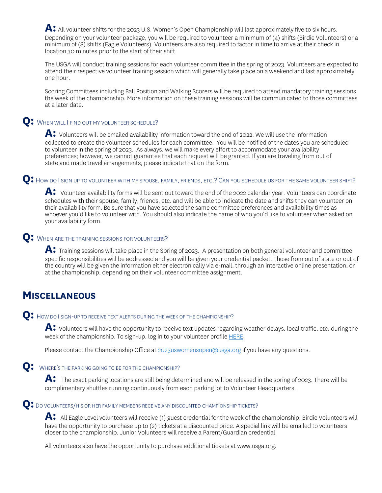A: All volunteer shifts for the 2023 U.S. Women's Open Championship will last approximately five to six hours. Depending on your volunteer package, you will be required to volunteer a minimum of (4) shifts (Birdie Volunteers) or a minimum of (8) shifts (Eagle Volunteers). Volunteers are also required to factor in time to arrive at their check in location 30 minutes prior to the start of their shift.

The USGA will conduct training sessions for each volunteer committee in the spring of 2023. Volunteers are expected to attend their respective volunteer training session which will generally take place on a weekend and last approximately one hour.

Scoring Committees including Ball Position and Walking Scorers will be required to attend mandatory training sessions the week of the championship. More information on these training sessions will be communicated to those committees at a later date.

# **Q:** WHEN WILL I FIND OUT MY VOLUNTEER SCHEDULE?

A: Volunteers will be emailed availability information toward the end of 2022. We will use the information collected to create the volunteer schedules for each committee. You will be notified of the dates you are scheduled to volunteer in the spring of 2023. As always, we will make every effort to accommodate your availability preferences; however, we cannot guarantee that each request will be granted. If you are traveling from out of state and made travel arrangements, please indicate that on the form.

### **Q:** HOW DO I SIGN UP TO VOLUNTEER WITH MY SPOUSE, FAMILY, FRIENDS, ETC.? CAN YOU SCHEDULE US FOR THE SAME VOLUNTEER SHIFT?

A: Volunteer availability forms will be sent out toward the end of the 2022 calendar year. Volunteers can coordinate schedules with their spouse, family, friends, etc. and will be able to indicate the date and shifts they can volunteer on their availability form. Be sure that you have selected the same committee preferences and availability times as whoever you'd like to volunteer with. You should also indicate the name of who you'd like to volunteer when asked on your availability form.

### **Q:** WHEN ARE THE TRAINING SESSIONS FOR VOLUNTEERS?

**A:** Training sessions will take place in the Spring of 2023. A presentation on both general volunteer and committee specific responsibilities will be addressed and you will be given your credential packet. Those from out of state or out of the country will be given the information either electronically via e-mail, through an interactive online presentation, or at the championship, depending on their volunteer committee assignment.

# **MISCELLANEOUS**

**Q:** HOW DO I SIGN-UP TO RECEIVE TEXT ALERTS DURING THE WEEK OF THE CHAMPIONSHIP?

**A:** Volunteers will have the opportunity to receive text updates regarding weather delays, local traffic, etc. during the week of the championship. To sign-up, log in to your volunteer profile [HERE.](https://www.cuetoems.com/uswo_2023/Volunteer.aspx)

Please contact the Championship Office at [2023uswomensopen@usga.org](mailto:2023uswomensopen@usga.org) if you have any questions.

# **Q:** WHERE'S THE PARKING GOING TO BE FOR THE CHAMPIONSHIP?

A: The exact parking locations are still being determined and will be released in the spring of 2023. There will be complimentary shuttles running continuously from each parking lot to Volunteer Headquarters.

# **Q:** DO VOLUNTEERS/HIS OR HER FAMILY MEMBERS RECEIVE ANY DISCOUNTED CHAMPIONSHIP TICKETS?

A: All Eagle Level volunteers will receive (1) guest credential for the week of the championship. Birdie Volunteers will have the opportunity to purchase up to (2) tickets at a discounted price. A special link will be emailed to volunteers closer to the championship. Junior Volunteers will receive a Parent/Guardian credential.

All volunteers also have the opportunity to purchase additional tickets at [www.usga.org.](http://www.usga.org/)